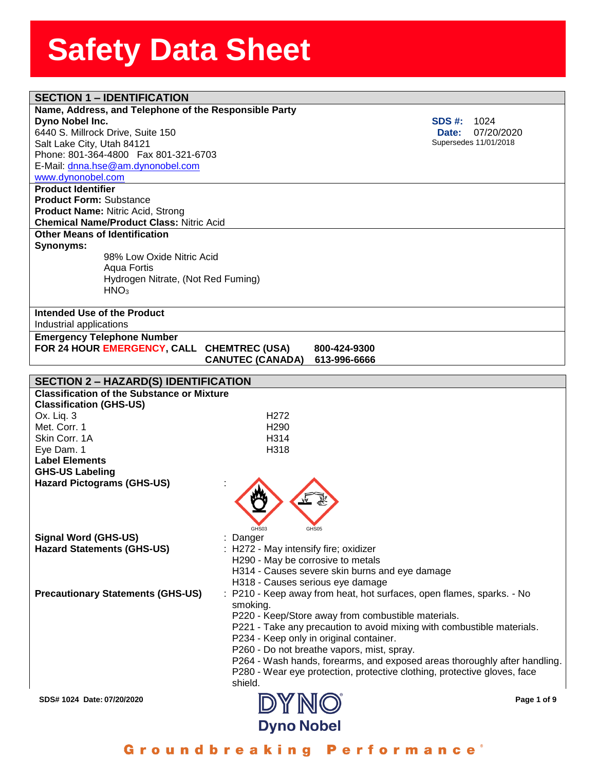| <b>SECTION 1 - IDENTIFICATION</b>                     |                                            |                                                                           |
|-------------------------------------------------------|--------------------------------------------|---------------------------------------------------------------------------|
| Name, Address, and Telephone of the Responsible Party |                                            |                                                                           |
| Dyno Nobel Inc.                                       |                                            | <b>SDS #:</b><br>1024                                                     |
| 6440 S. Millrock Drive, Suite 150                     |                                            | 07/20/2020<br>Date:                                                       |
| Salt Lake City, Utah 84121                            |                                            | Supersedes 11/01/2018                                                     |
| Phone: 801-364-4800  Fax 801-321-6703                 |                                            |                                                                           |
|                                                       |                                            |                                                                           |
| E-Mail: dnna.hse@am.dynonobel.com                     |                                            |                                                                           |
| www.dynonobel.com                                     |                                            |                                                                           |
| <b>Product Identifier</b>                             |                                            |                                                                           |
| <b>Product Form: Substance</b>                        |                                            |                                                                           |
| <b>Product Name: Nitric Acid, Strong</b>              |                                            |                                                                           |
| <b>Chemical Name/Product Class: Nitric Acid</b>       |                                            |                                                                           |
| <b>Other Means of Identification</b>                  |                                            |                                                                           |
| Synonyms:                                             |                                            |                                                                           |
| 98% Low Oxide Nitric Acid                             |                                            |                                                                           |
| Aqua Fortis                                           |                                            |                                                                           |
| Hydrogen Nitrate, (Not Red Fuming)                    |                                            |                                                                           |
| HNO <sub>3</sub>                                      |                                            |                                                                           |
|                                                       |                                            |                                                                           |
|                                                       |                                            |                                                                           |
| Intended Use of the Product                           |                                            |                                                                           |
| Industrial applications                               |                                            |                                                                           |
| <b>Emergency Telephone Number</b>                     |                                            |                                                                           |
| FOR 24 HOUR EMERGENCY, CALL                           | <b>CHEMTREC (USA)</b>                      | 800-424-9300                                                              |
|                                                       | <b>CANUTEC (CANADA)</b>                    | 613-996-6666                                                              |
|                                                       |                                            |                                                                           |
| <b>SECTION 2 - HAZARD(S) IDENTIFICATION</b>           |                                            |                                                                           |
| <b>Classification of the Substance or Mixture</b>     |                                            |                                                                           |
| <b>Classification (GHS-US)</b>                        |                                            |                                                                           |
| Ox. Liq. 3                                            | H <sub>272</sub>                           |                                                                           |
| Met. Corr. 1                                          | H <sub>290</sub>                           |                                                                           |
| Skin Corr. 1A                                         | H <sub>314</sub>                           |                                                                           |
| Eye Dam. 1                                            | H318                                       |                                                                           |
| <b>Label Elements</b>                                 |                                            |                                                                           |
| <b>GHS-US Labeling</b>                                |                                            |                                                                           |
|                                                       |                                            |                                                                           |
| <b>Hazard Pictograms (GHS-US)</b>                     |                                            |                                                                           |
|                                                       |                                            |                                                                           |
|                                                       |                                            |                                                                           |
|                                                       |                                            |                                                                           |
|                                                       | GHS03<br>GHS05                             |                                                                           |
| Signal Word (GHS-US)                                  | Danger                                     |                                                                           |
| <b>Hazard Statements (GHS-US)</b>                     | : H272 - May intensify fire; oxidizer      |                                                                           |
|                                                       | H290 - May be corrosive to metals          |                                                                           |
|                                                       |                                            | H314 - Causes severe skin burns and eye damage                            |
|                                                       | H318 - Causes serious eye damage           |                                                                           |
| <b>Precautionary Statements (GHS-US)</b>              |                                            | : P210 - Keep away from heat, hot surfaces, open flames, sparks. - No     |
|                                                       | smoking.                                   |                                                                           |
|                                                       |                                            | P220 - Keep/Store away from combustible materials.                        |
|                                                       |                                            | P221 - Take any precaution to avoid mixing with combustible materials.    |
|                                                       |                                            |                                                                           |
|                                                       | P234 - Keep only in original container.    |                                                                           |
|                                                       | P260 - Do not breathe vapors, mist, spray. |                                                                           |
|                                                       |                                            | P264 - Wash hands, forearms, and exposed areas thoroughly after handling. |
|                                                       |                                            | P280 - Wear eye protection, protective clothing, protective gloves, face  |
|                                                       | shield.                                    |                                                                           |
| SDS# 1024 Date: 07/20/2020                            |                                            | Page 1 of 9                                                               |
|                                                       | DYNO                                       |                                                                           |
|                                                       |                                            |                                                                           |
|                                                       | <b>Dyno Nobel</b>                          |                                                                           |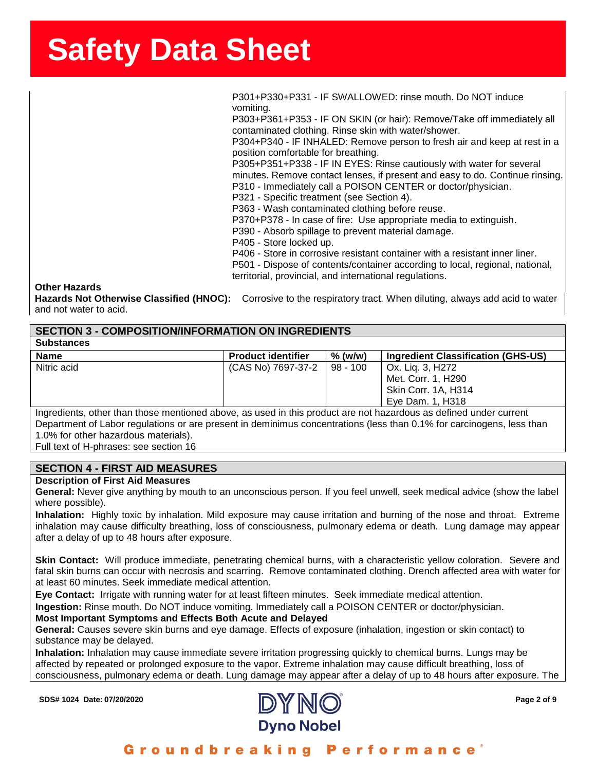**ssssSSherrSheetSSh** P301+P330+P331 - IF SWALLOWED: rinse mouth. Do NOT induce vomiting.

> P303+P361+P353 - IF ON SKIN (or hair): Remove/Take off immediately all contaminated clothing. Rinse skin with water/shower.

P304+P340 - IF INHALED: Remove person to fresh air and keep at rest in a position comfortable for breathing.

P305+P351+P338 - IF IN EYES: Rinse cautiously with water for several minutes. Remove contact lenses, if present and easy to do. Continue rinsing. P310 - Immediately call a POISON CENTER or doctor/physician.

P321 - Specific treatment (see Section 4).

P363 - Wash contaminated clothing before reuse.

P370+P378 - In case of fire: Use appropriate media to extinguish.

P390 - Absorb spillage to prevent material damage.

P405 - Store locked up.

P406 - Store in corrosive resistant container with a resistant inner liner.

P501 - Dispose of contents/container according to local, regional, national, territorial, provincial, and international regulations.

#### **Other Hazards**

**Hazards Not Otherwise Classified (HNOC):** Corrosive to the respiratory tract. When diluting, always add acid to water and not water to acid.

### **SECTION 3 - COMPOSITION/INFORMATION ON INGREDIENTS Substances Name Product identifier % (w/w) Ingredient Classification (GHS-US)** Nitric acid **Nitric acid** (CAS No) 7697-37-2 | 98 - 100 | Ox. Liq. 3, H272 Met. Corr. 1, H290 Skin Corr. 1A, H314 Eye Dam. 1, H318 Ingredients, other than those mentioned above, as used in this product are not hazardous as defined under current

Department of Labor regulations or are present in deminimus concentrations (less than 0.1% for carcinogens, less than 1.0% for other hazardous materials).

Full text of H-phrases: see section 16

## **SECTION 4 - FIRST AID MEASURES**

### **Description of First Aid Measures**

**General:** Never give anything by mouth to an unconscious person. If you feel unwell, seek medical advice (show the label where possible).

**Inhalation:** Highly toxic by inhalation. Mild exposure may cause irritation and burning of the nose and throat. Extreme inhalation may cause difficulty breathing, loss of consciousness, pulmonary edema or death. Lung damage may appear after a delay of up to 48 hours after exposure.

**Skin Contact:** Will produce immediate, penetrating chemical burns, with a characteristic yellow coloration. Severe and fatal skin burns can occur with necrosis and scarring. Remove contaminated clothing. Drench affected area with water for at least 60 minutes. Seek immediate medical attention.

**Eye Contact:** Irrigate with running water for at least fifteen minutes. Seek immediate medical attention.

**Ingestion:** Rinse mouth. Do NOT induce vomiting. Immediately call a POISON CENTER or doctor/physician.

### **Most Important Symptoms and Effects Both Acute and Delayed**

**General:** Causes severe skin burns and eye damage. Effects of exposure (inhalation, ingestion or skin contact) to substance may be delayed.

**Inhalation:** Inhalation may cause immediate severe irritation progressing quickly to chemical burns. Lungs may be affected by repeated or prolonged exposure to the vapor. Extreme inhalation may cause difficult breathing, loss of consciousness, pulmonary edema or death. Lung damage may appear after a delay of up to 48 hours after exposure. The

**SDS# 1024 Date: 07/20/2020 Page 2 of 9**



## Groundbreaking Performance'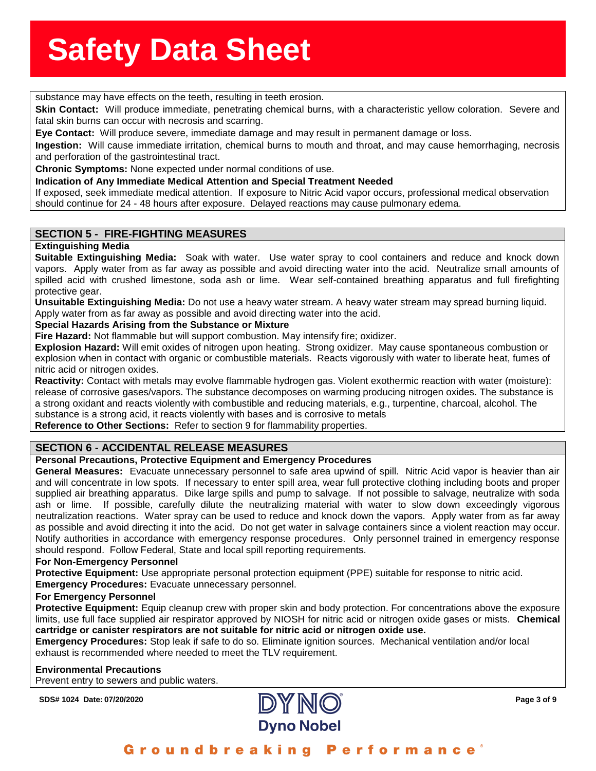**substance may have effects on the teeth, resulting in teeth erosion.**<br>Substance may have effects on the teeth, resulting in teeth erosion.

**Skin Contact:** Will produce immediate, penetrating chemical burns, with a characteristic yellow colc<br>fatal skin burns can occur with necrosis and scarring.<br>**Eye Contact:** Will produce severe, immediate damage and may re **Skin Contact:** Will produce immediate, penetrating chemical burns, with a characteristic yellow coloration. Severe and fatal skin burns can occur with necrosis and scarring.

**Ingestion:** Will cause immediate irritation, chemical burns to mouth and throat, and may cause hemorrhaging, necrosis and perforation of the gastrointestinal tract.

**Chronic Symptoms:** None expected under normal conditions of use.

**Indication of Any Immediate Medical Attention and Special Treatment Needed**

If exposed, seek immediate medical attention. If exposure to Nitric Acid vapor occurs, professional medical observation should continue for 24 - 48 hours after exposure. Delayed reactions may cause pulmonary edema.

## **SECTION 5 - FIRE-FIGHTING MEASURES**

### **Extinguishing Media**

**Suitable Extinguishing Media:** Soak with water. Use water spray to cool containers and reduce and knock down vapors. Apply water from as far away as possible and avoid directing water into the acid. Neutralize small amounts of spilled acid with crushed limestone, soda ash or lime. Wear self-contained breathing apparatus and full firefighting protective gear.

**Unsuitable Extinguishing Media:** Do not use a heavy water stream. A heavy water stream may spread burning liquid. Apply water from as far away as possible and avoid directing water into the acid.

### **Special Hazards Arising from the Substance or Mixture**

**Fire Hazard:** Not flammable but will support combustion. May intensify fire; oxidizer.

**Explosion Hazard:** Will emit oxides of nitrogen upon heating. Strong oxidizer. May cause spontaneous combustion or explosion when in contact with organic or combustible materials. Reacts vigorously with water to liberate heat, fumes of nitric acid or nitrogen oxides.

**Reactivity:** Contact with metals may evolve flammable hydrogen gas. Violent exothermic reaction with water (moisture): release of corrosive gases/vapors. The substance decomposes on warming producing nitrogen oxides. The substance is a strong oxidant and reacts violently with combustible and reducing materials, e.g., turpentine, charcoal, alcohol. The substance is a strong acid, it reacts violently with bases and is corrosive to metals

**Reference to Other Sections:** Refer to section 9 for flammability properties.

## **SECTION 6 - ACCIDENTAL RELEASE MEASURES**

### **Personal Precautions, Protective Equipment and Emergency Procedures**

**General Measures:** Evacuate unnecessary personnel to safe area upwind of spill. Nitric Acid vapor is heavier than air and will concentrate in low spots. If necessary to enter spill area, wear full protective clothing including boots and proper supplied air breathing apparatus. Dike large spills and pump to salvage. If not possible to salvage, neutralize with soda ash or lime. If possible, carefully dilute the neutralizing material with water to slow down exceedingly vigorous neutralization reactions. Water spray can be used to reduce and knock down the vapors. Apply water from as far away as possible and avoid directing it into the acid. Do not get water in salvage containers since a violent reaction may occur. Notify authorities in accordance with emergency response procedures. Only personnel trained in emergency response should respond. Follow Federal, State and local spill reporting requirements.

### **For Non-Emergency Personnel**

**Protective Equipment:** Use appropriate personal protection equipment (PPE) suitable for response to nitric acid. **Emergency Procedures:** Evacuate unnecessary personnel.

#### **For Emergency Personnel**

**Protective Equipment:** Equip cleanup crew with proper skin and body protection. For concentrations above the exposure limits, use full face supplied air respirator approved by NIOSH for nitric acid or nitrogen oxide gases or mists. **Chemical cartridge or canister respirators are not suitable for nitric acid or nitrogen oxide use.**

**Emergency Procedures:** Stop leak if safe to do so. Eliminate ignition sources. Mechanical ventilation and/or local exhaust is recommended where needed to meet the TLV requirement.

#### **Environmental Precautions**

Prevent entry to sewers and public waters.

**SDS# 1024 Date: 07/20/2020 Page 3 of 9**

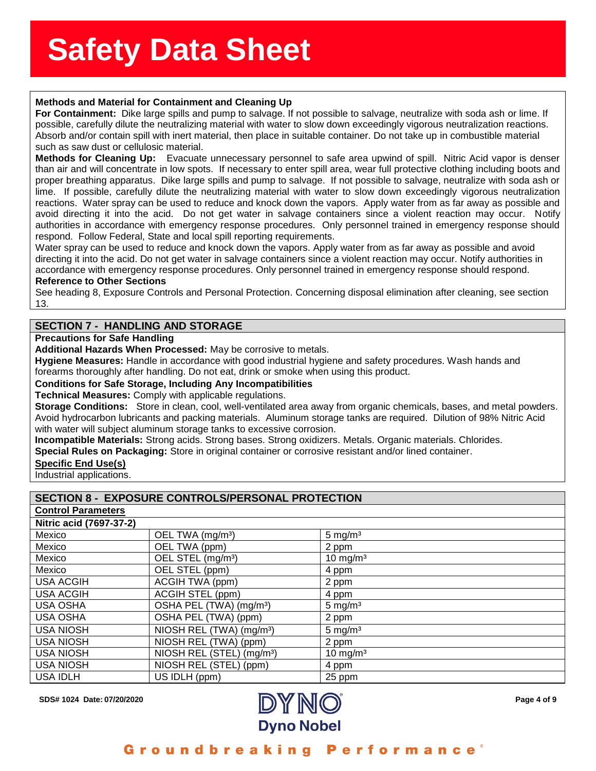# **issue of the Sherron Step Set of the Sherron Step Set of the Sherron Step Sherron Step Set of the Sherron Step S**<br>Methods and Material for Containment and Cleaning Up

For Containment: Dike large spills and pump to salvage. If not possible to salvage, neutralize with soda ash or lime. If<br>possible, carefully dilute the neutralizing material with water to slow down exceedingly vigorous neu possible, carefully dilute the neutralizing material with water to slow down exceedingly vigorous neutralization reactions. Absorb and/or contain spill with inert material, then place in suitable container. Do not take up in combustible material such as saw dust or cellulosic material.

**Methods for Cleaning Up:** Evacuate unnecessary personnel to safe area upwind of spill. Nitric Acid vapor is denser than air and will concentrate in low spots. If necessary to enter spill area, wear full protective clothing including boots and proper breathing apparatus. Dike large spills and pump to salvage. If not possible to salvage, neutralize with soda ash or lime. If possible, carefully dilute the neutralizing material with water to slow down exceedingly vigorous neutralization reactions. Water spray can be used to reduce and knock down the vapors. Apply water from as far away as possible and avoid directing it into the acid. Do not get water in salvage containers since a violent reaction may occur. Notify authorities in accordance with emergency response procedures. Only personnel trained in emergency response should respond. Follow Federal, State and local spill reporting requirements.

Water spray can be used to reduce and knock down the vapors. Apply water from as far away as possible and avoid directing it into the acid. Do not get water in salvage containers since a violent reaction may occur. Notify authorities in accordance with emergency response procedures. Only personnel trained in emergency response should respond.

#### **Reference to Other Sections**

See heading 8, Exposure Controls and Personal Protection. Concerning disposal elimination after cleaning, see section 13.

### **SECTION 7 - HANDLING AND STORAGE**

#### **Precautions for Safe Handling**

**Additional Hazards When Processed:** May be corrosive to metals.

**Hygiene Measures:** Handle in accordance with good industrial hygiene and safety procedures. Wash hands and forearms thoroughly after handling. Do not eat, drink or smoke when using this product.

#### **Conditions for Safe Storage, Including Any Incompatibilities**

**Technical Measures:** Comply with applicable regulations.

**Storage Conditions:** Store in clean, cool, well-ventilated area away from organic chemicals, bases, and metal powders. Avoid hydrocarbon lubricants and packing materials. Aluminum storage tanks are required. Dilution of 98% Nitric Acid with water will subject aluminum storage tanks to excessive corrosion.

**Incompatible Materials:** Strong acids. Strong bases. Strong oxidizers. Metals. Organic materials. Chlorides.

**Special Rules on Packaging:** Store in original container or corrosive resistant and/or lined container.

#### **Specific End Use(s)**

Industrial applications.

## **SECTION 8 - EXPOSURE CONTROLS/PERSONAL PROTECTION**

| <b>Control Parameters</b> |                                       |                      |
|---------------------------|---------------------------------------|----------------------|
| Nitric acid (7697-37-2)   |                                       |                      |
| Mexico                    | OEL TWA (mg/m <sup>3</sup> )          | $5 \text{ mg/m}^3$   |
| Mexico                    | OEL TWA (ppm)                         | 2 ppm                |
| Mexico                    | OEL STEL (mg/m <sup>3</sup> )         | $10 \text{ mg/m}^3$  |
| Mexico                    | OEL STEL (ppm)                        | 4 ppm                |
| <b>USA ACGIH</b>          | ACGIH TWA (ppm)                       | 2 ppm                |
| <b>USA ACGIH</b>          | ACGIH STEL (ppm)                      | 4 ppm                |
| <b>USA OSHA</b>           | OSHA PEL (TWA) (mg/m <sup>3</sup> )   | 5 mg/ $m3$           |
| <b>USA OSHA</b>           | OSHA PEL (TWA) (ppm)                  | 2 ppm                |
| <b>USA NIOSH</b>          | NIOSH REL (TWA) (mg/m <sup>3</sup> )  | $5 \text{ mg/m}^3$   |
| <b>USA NIOSH</b>          | NIOSH REL (TWA) (ppm)                 | 2 ppm                |
| <b>USA NIOSH</b>          | NIOSH REL (STEL) (mg/m <sup>3</sup> ) | 10 mg/m <sup>3</sup> |
| <b>USA NIOSH</b>          | NIOSH REL (STEL) (ppm)                | 4 ppm                |
| <b>USA IDLH</b>           | US IDLH (ppm)                         | 25 ppm               |



Groundbreaking **Performance**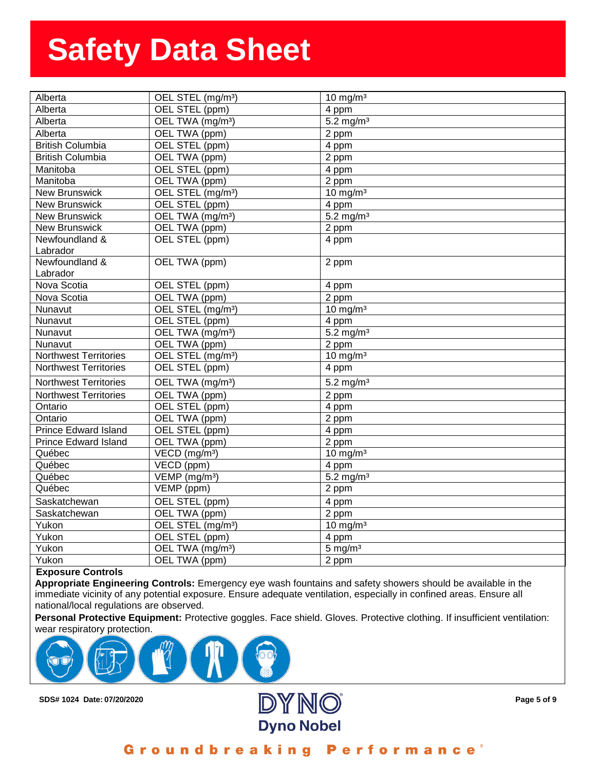| Alberta                      | OEL STEL (mg/m <sup>3</sup> ) | $10 \text{ mg/m}^3$     |
|------------------------------|-------------------------------|-------------------------|
| Alberta                      | OEL STEL (ppm)                | 4 ppm                   |
| Alberta                      | OEL TWA (mg/m <sup>3</sup> )  | $5.2$ mg/m <sup>3</sup> |
| Alberta                      | OEL TWA (ppm)                 | 2 ppm                   |
| <b>British Columbia</b>      | OEL STEL (ppm)                | 4 ppm                   |
| <b>British Columbia</b>      | OEL TWA (ppm)                 | 2 ppm                   |
| Manitoba                     | OEL STEL (ppm)                | 4 ppm                   |
| Manitoba                     | OEL TWA (ppm)                 | 2 ppm                   |
| <b>New Brunswick</b>         | OEL STEL (mg/m <sup>3</sup> ) | 10 mg/m $3$             |
| <b>New Brunswick</b>         | OEL STEL (ppm)                | 4 ppm                   |
| <b>New Brunswick</b>         | OEL TWA (mg/m <sup>3</sup> )  | $5.2$ mg/m <sup>3</sup> |
| <b>New Brunswick</b>         | OEL TWA (ppm)                 | 2 ppm                   |
| Newfoundland &               | OEL STEL (ppm)                | 4 ppm                   |
| Labrador                     |                               |                         |
| Newfoundland &               | OEL TWA (ppm)                 | 2 ppm                   |
| Labrador                     |                               |                         |
| Nova Scotia                  | OEL STEL (ppm)                | 4 ppm                   |
| Nova Scotia                  | OEL TWA (ppm)                 | 2 ppm                   |
| Nunavut                      | OEL STEL (mg/m <sup>3</sup> ) | $10 \text{ mg/m}^3$     |
| Nunavut                      | OEL STEL (ppm)                | $\overline{4}$ ppm      |
| Nunavut                      | OEL TWA (mg/m <sup>3</sup> )  | $5.2$ mg/m <sup>3</sup> |
| Nunavut                      | OEL TWA (ppm)                 | 2 ppm                   |
| <b>Northwest Territories</b> | OEL STEL (mg/m <sup>3</sup> ) | $10 \text{ mg/m}^3$     |
| <b>Northwest Territories</b> | OEL STEL (ppm)                | 4 ppm                   |
| <b>Northwest Territories</b> | OEL TWA (mg/m <sup>3</sup> )  | $5.2$ mg/m <sup>3</sup> |
| <b>Northwest Territories</b> | OEL TWA (ppm)                 | $2$ ppm                 |
| Ontario                      | OEL STEL (ppm)                | $\overline{4}$ ppm      |
| Ontario                      | OEL TWA (ppm)                 | 2 ppm                   |
| <b>Prince Edward Island</b>  | OEL STEL (ppm)                | 4 ppm                   |
| <b>Prince Edward Island</b>  | OEL TWA (ppm)                 | 2 ppm                   |
| Québec                       | $VECD$ (mg/m <sup>3</sup> )   | $10 \text{ mg/m}^3$     |
| Québec                       | VECD (ppm)                    | 4 ppm                   |
| Québec                       | VEMP (mg/m <sup>3</sup> )     | $5.2$ mg/m <sup>3</sup> |
| Québec                       | VEMP (ppm)                    | 2 ppm                   |
| Saskatchewan                 | OEL STEL (ppm)                | 4 ppm                   |
| Saskatchewan                 | OEL TWA (ppm)                 | 2 ppm                   |
| Yukon                        | OEL STEL (mg/m <sup>3</sup> ) | $10 \text{ mg/m}^3$     |
| Yukon                        | OEL STEL (ppm)                | 4 ppm                   |
| Yukon                        | OEL TWA (mg/m <sup>3</sup> )  | $5 \text{ mg/m}^3$      |
| Yukon                        | OEL TWA (ppm)                 | 2 ppm                   |

#### **Exposure Controls**

**Appropriate Engineering Controls:** Emergency eye wash fountains and safety showers should be available in the immediate vicinity of any potential exposure. Ensure adequate ventilation, especially in confined areas. Ensure all national/local regulations are observed.

**Personal Protective Equipment:** Protective goggles. Face shield. Gloves. Protective clothing. If insufficient ventilation: wear respiratory protection.





Groundbreaking **Performance**<sup>®</sup>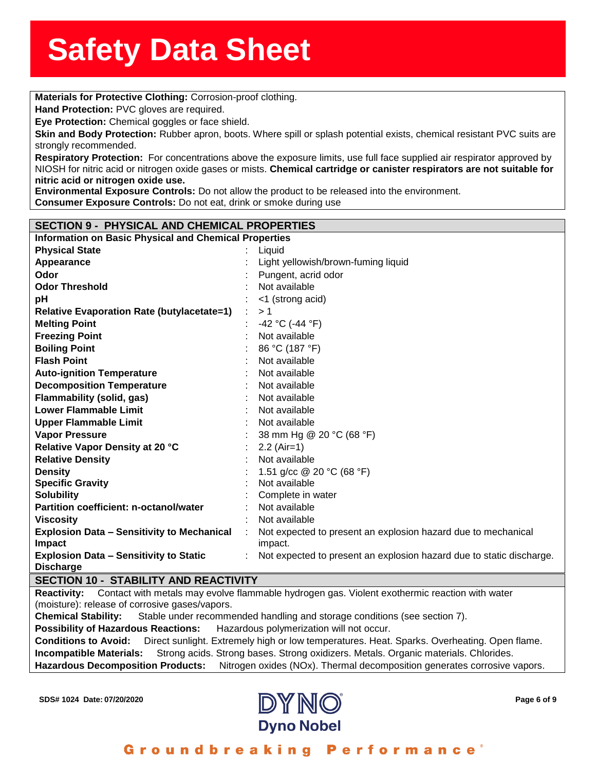**Materials for Protective Clothing:** Corrosion-proof clothing.<br>**Materials for Protective Clothing:** Corrosion-proof clothing.

**Hand Protection:** PVC gloves are required.

**nd Protection:** PVC gloves<br>**e Protection:** Chemical gog<br>in and Body Protection: R **Eye Protection:** Chemical goggles or face shield.

**Skin and Body Protection:** Rubber apron, boots. Where spill or splash potential exists, chemical resistant PVC suits are strongly recommended.

**Respiratory Protection:** For concentrations above the exposure limits, use full face supplied air respirator approved by NIOSH for nitric acid or nitrogen oxide gases or mists. **Chemical cartridge or canister respirators are not suitable for nitric acid or nitrogen oxide use.**

**Environmental Exposure Controls:** Do not allow the product to be released into the environment. **Consumer Exposure Controls:** Do not eat, drink or smoke during use

| <b>SECTION 9 - PHYSICAL AND CHEMICAL PROPERTIES</b>                |  |                                                                          |
|--------------------------------------------------------------------|--|--------------------------------------------------------------------------|
| <b>Information on Basic Physical and Chemical Properties</b>       |  |                                                                          |
| <b>Physical State</b>                                              |  | Liquid                                                                   |
| Appearance                                                         |  | Light yellowish/brown-fuming liquid                                      |
| Odor                                                               |  | Pungent, acrid odor                                                      |
| <b>Odor Threshold</b>                                              |  | Not available                                                            |
| pH                                                                 |  | <1 (strong acid)                                                         |
| <b>Relative Evaporation Rate (butylacetate=1)</b>                  |  | >1                                                                       |
| <b>Melting Point</b>                                               |  | $-42$ °C (-44 °F)                                                        |
| <b>Freezing Point</b>                                              |  | Not available                                                            |
| <b>Boiling Point</b>                                               |  | 86 °C (187 °F)                                                           |
| <b>Flash Point</b>                                                 |  | Not available                                                            |
| <b>Auto-ignition Temperature</b>                                   |  | Not available                                                            |
| <b>Decomposition Temperature</b>                                   |  | Not available                                                            |
| Flammability (solid, gas)                                          |  | Not available                                                            |
| <b>Lower Flammable Limit</b>                                       |  | Not available                                                            |
| <b>Upper Flammable Limit</b>                                       |  | Not available                                                            |
| <b>Vapor Pressure</b>                                              |  | 38 mm Hg @ 20 °C (68 °F)                                                 |
| Relative Vapor Density at 20 °C                                    |  | $2.2$ (Air=1)                                                            |
| <b>Relative Density</b>                                            |  | Not available                                                            |
| <b>Density</b>                                                     |  | 1.51 g/cc @ 20 °C (68 °F)                                                |
| <b>Specific Gravity</b>                                            |  | Not available                                                            |
| <b>Solubility</b>                                                  |  | Complete in water                                                        |
| Partition coefficient: n-octanol/water                             |  | Not available                                                            |
| <b>Viscosity</b>                                                   |  | Not available                                                            |
| <b>Explosion Data - Sensitivity to Mechanical</b><br><b>Impact</b> |  | Not expected to present an explosion hazard due to mechanical<br>impact. |
| <b>Explosion Data - Sensitivity to Static</b><br><b>Discharge</b>  |  | Not expected to present an explosion hazard due to static discharge.     |
| <b>SECTION 10 - STABILITY AND REACTIVITY</b>                       |  |                                                                          |

**Reactivity:** Contact with metals may evolve flammable hydrogen gas. Violent exothermic reaction with water

(moisture): release of corrosive gases/vapors.

**Chemical Stability:** Stable under recommended handling and storage conditions (see section 7).

**Possibility of Hazardous Reactions:** Hazardous polymerization will not occur.

**Conditions to Avoid:** Direct sunlight. Extremely high or low temperatures. Heat. Sparks. Overheating. Open flame. **Incompatible Materials:** Strong acids. Strong bases. Strong oxidizers. Metals. Organic materials. Chlorides. **Hazardous Decomposition Products:** Nitrogen oxides (NOx). Thermal decomposition generates corrosive vapors.

**SDS# 1024 Date: 07/20/2020 Page 6 of 9**



Groundbreaking **Performance**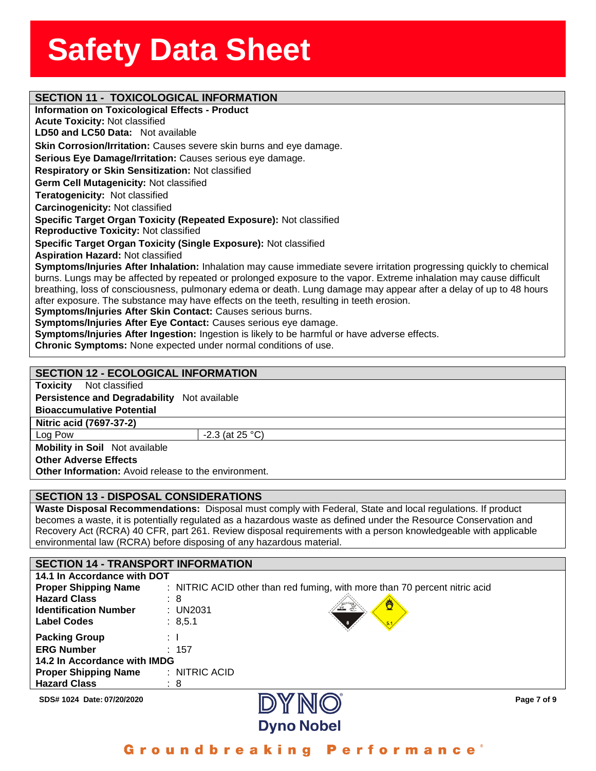|                                              | <b>SECTION 11 - TOXICOLOGICAL INFORMATION</b><br><b>Information on Toxicological Effects - Product</b>               |
|----------------------------------------------|----------------------------------------------------------------------------------------------------------------------|
| <b>Acute Toxicity: Not classified</b>        |                                                                                                                      |
| LD50 and LC50 Data: Not available            |                                                                                                                      |
|                                              | Skin Corrosion/Irritation: Causes severe skin burns and eye damage.                                                  |
|                                              | Serious Eye Damage/Irritation: Causes serious eye damage.                                                            |
|                                              | Respiratory or Skin Sensitization: Not classified                                                                    |
| Germ Cell Mutagenicity: Not classified       |                                                                                                                      |
| Teratogenicity: Not classified               |                                                                                                                      |
| Carcinogenicity: Not classified              |                                                                                                                      |
|                                              | Specific Target Organ Toxicity (Repeated Exposure): Not classified                                                   |
| <b>Reproductive Toxicity: Not classified</b> |                                                                                                                      |
|                                              | Specific Target Organ Toxicity (Single Exposure): Not classified                                                     |
| <b>Aspiration Hazard: Not classified</b>     |                                                                                                                      |
|                                              | Symptoms/Injuries After Inhalation: Inhalation may cause immediate severe irritation progressing quickly to chemical |
|                                              | burns. Lungs may be affected by repeated or prolonged exposure to the vapor. Extreme inhalation may cause difficult  |
|                                              | breathing, loss of consciousness, pulmonary edema or death. Lung damage may appear after a delay of up to 48 hours   |
|                                              | after exposure. The substance may have effects on the teeth, resulting in teeth erosion.                             |
|                                              | Symptoms/Injuries After Skin Contact: Causes serious burns.                                                          |
|                                              | Symptoms/Injuries After Eye Contact: Causes serious eye damage.                                                      |
|                                              | Symptoms/Injuries After Ingestion: Ingestion is likely to be harmful or have adverse effects.                        |
|                                              | Chronic Symptoms: None expected under normal conditions of use.                                                      |

### **SECTION 12 - ECOLOGICAL INFORMATE**

**Toxicity** Not classified

**Persistence and Degradability** Not available

**Bioaccumulative Potential**

**Nitric acid (7697-37-2)**

Log Pow  $\vert$  -2.3 (at 25 °C)

**Mobility in Soil** Not available

**Other Adverse Effects**

**Other Information:** Avoid release to the environment.

### **SECTION 13 - DISPOSAL CONSIDERATIONS**

**Waste Disposal Recommendations:** Disposal must comply with Federal, State and local regulations. If product becomes a waste, it is potentially regulated as a hazardous waste as defined under the Resource Conservation and Recovery Act (RCRA) 40 CFR, part 261. Review disposal requirements with a person knowledgeable with applicable environmental law (RCRA) before disposing of any hazardous material.

| <b>SECTION 14 - TRANSPORT INFORMATION</b> |                                                                            |  |
|-------------------------------------------|----------------------------------------------------------------------------|--|
| 14.1 In Accordance with DOT               |                                                                            |  |
| <b>Proper Shipping Name</b>               | : NITRIC ACID other than red fuming, with more than 70 percent nitric acid |  |
| <b>Hazard Class</b>                       | : 8                                                                        |  |
| <b>Identification Number</b>              | Ö<br>: UN2031                                                              |  |
| <b>Label Codes</b>                        | : 8,5.1                                                                    |  |
| <b>Packing Group</b>                      | : I                                                                        |  |
| <b>ERG Number</b>                         | : 157                                                                      |  |
| 14.2 In Accordance with IMDG              |                                                                            |  |
| <b>Proper Shipping Name</b>               | $:$ NITRIC ACID                                                            |  |
| <b>Hazard Class</b>                       | : 8                                                                        |  |
|                                           | <b>INARTA</b>                                                              |  |

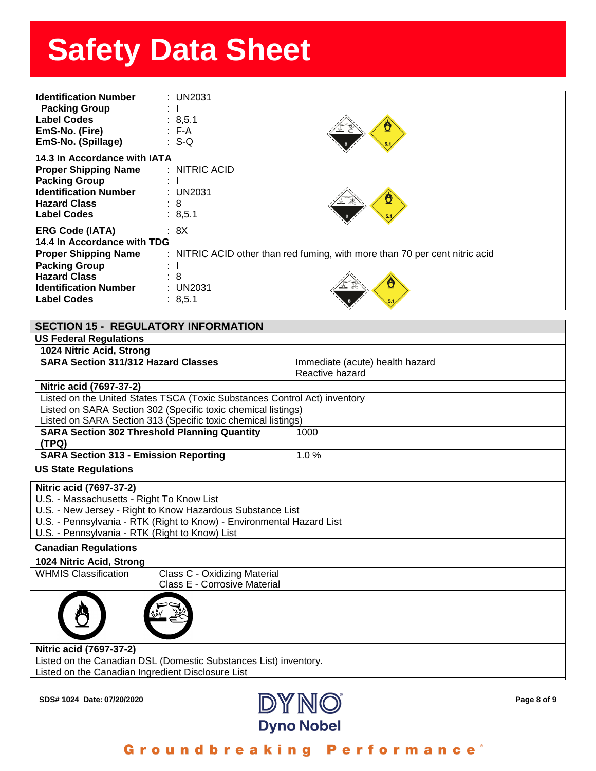| <b>Identification Number</b><br><b>Packing Group</b><br><b>Label Codes</b><br>EmS-No. (Fire)<br>EmS-No. (Spillage)                                                                        | $:$ UN2031<br>: 8,5.1<br>$\cdot$ F-A<br>$\therefore$ S-Q    |                                                                                  |
|-------------------------------------------------------------------------------------------------------------------------------------------------------------------------------------------|-------------------------------------------------------------|----------------------------------------------------------------------------------|
| 14.3 In Accordance with IATA<br><b>Proper Shipping Name</b><br><b>Packing Group</b><br><b>Identification Number</b><br><b>Hazard Class</b><br><b>Label Codes</b>                          | : NITRIC ACID<br>÷<br>: UN2031<br>$\therefore$ 8<br>: 8,5.1 |                                                                                  |
| <b>ERG Code (IATA)</b><br>14.4 In Accordance with TDG<br><b>Proper Shipping Name</b><br><b>Packing Group</b><br><b>Hazard Class</b><br><b>Identification Number</b><br><b>Label Codes</b> | : 8X<br>$\pm$ 1<br>$\therefore$ 8<br>: UN2031<br>: 8,5.1    | : NITRIC ACID other than red fuming, with more than 70 per cent nitric acid<br>Ö |

| <b>SECTION 15 - REGULATORY INFORMATION</b>                                |                                 |  |
|---------------------------------------------------------------------------|---------------------------------|--|
| <b>US Federal Regulations</b>                                             |                                 |  |
| 1024 Nitric Acid, Strong                                                  |                                 |  |
| <b>SARA Section 311/312 Hazard Classes</b>                                | Immediate (acute) health hazard |  |
|                                                                           | Reactive hazard                 |  |
| Nitric acid (7697-37-2)                                                   |                                 |  |
| Listed on the United States TSCA (Toxic Substances Control Act) inventory |                                 |  |
| Listed on SARA Section 302 (Specific toxic chemical listings)             |                                 |  |
| Listed on SARA Section 313 (Specific toxic chemical listings)             |                                 |  |
| <b>SARA Section 302 Threshold Planning Quantity</b>                       | 1000                            |  |
| (TPQ)                                                                     |                                 |  |
| <b>SARA Section 313 - Emission Reporting</b>                              | 1.0%                            |  |
| <b>US State Regulations</b>                                               |                                 |  |
| Nitric acid (7697-37-2)                                                   |                                 |  |
| U.S. - Massachusetts - Right To Know List                                 |                                 |  |
| U.S. - New Jersey - Right to Know Hazardous Substance List                |                                 |  |
| U.S. - Pennsylvania - RTK (Right to Know) - Environmental Hazard List     |                                 |  |
| U.S. - Pennsylvania - RTK (Right to Know) List                            |                                 |  |
| <b>Canadian Regulations</b>                                               |                                 |  |
| 1024 Nitric Acid, Strong                                                  |                                 |  |
| <b>WHMIS Classification</b><br>Class C - Oxidizing Material               |                                 |  |
| Class E - Corrosive Material                                              |                                 |  |
|                                                                           |                                 |  |
| Nitric acid (7697-37-2)                                                   |                                 |  |
| Listed on the Canadian DSL (Domestic Substances List) inventory.          |                                 |  |
| Listed on the Canadian Ingredient Disclosure List                         |                                 |  |
|                                                                           |                                 |  |



# Groundbreaking Performance®